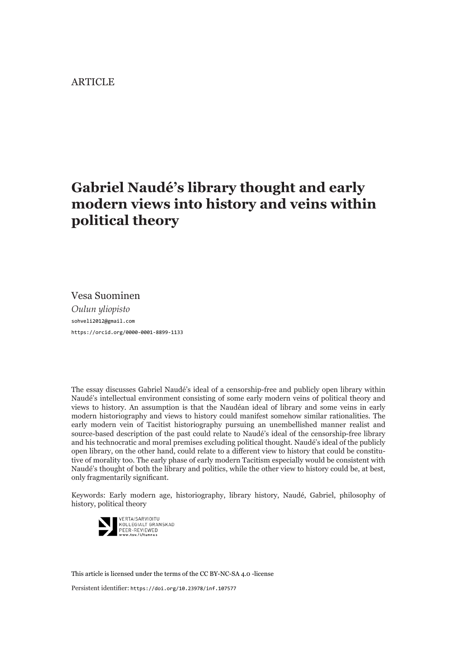#### ARTICLE

# **Gabriel Naudé's library thought and early modern views into history and veins within political theory**

Vesa Suominen *Oulun yliopisto* [sohveli2012@gmail.com](mailto:sohveli2012%40gmail.com?subject=) <https://orcid.org/0000-0001-8899-1133>

The essay discusses Gabriel Naudé's ideal of a censorship-free and publicly open library within Naudé's intellectual environment consisting of some early modern veins of political theory and views to history. An assumption is that the Naudéan ideal of library and some veins in early modern historiography and views to history could manifest somehow similar rationalities. The early modern vein of Tacitist historiography pursuing an unembellished manner realist and source-based description of the past could relate to Naudé's ideal of the censorship-free library and his technocratic and moral premises excluding political thought. Naudé's ideal of the publicly open library, on the other hand, could relate to a different view to history that could be constitutive of morality too. The early phase of early modern Tacitism especially would be consistent with Naudé's thought of both the library and politics, while the other view to history could be, at best, only fragmentarily significant.

Keywords: Early modern age, historiography, library history, Naudé, Gabriel, philosophy of history, political theory



[This article is licensed under the terms of the CC BY-NC-SA 4.0 -license](http://creativecommons.org/licenses/by-nc-sa/4.0/)

Persistent identifier: <https://doi.org/10.23978/inf.107577>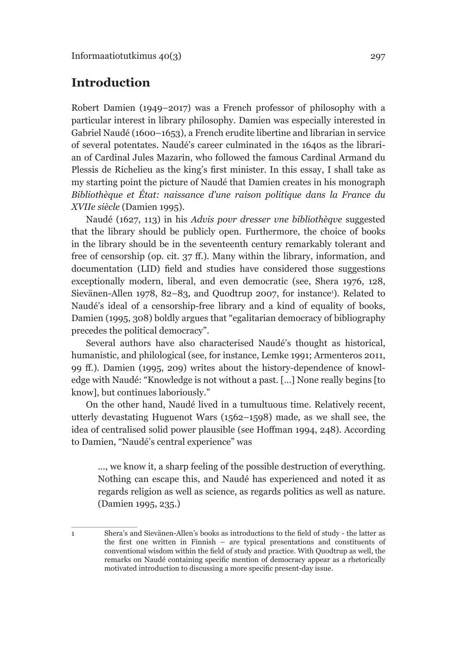# **Introduction**

Robert Damien (1949–2017) was a French professor of philosophy with a particular interest in library philosophy. Damien was especially interested in Gabriel Naudé (1600–1653), a French erudite libertine and librarian in service of several potentates. Naudé's career culminated in the 1640s as the librarian of Cardinal Jules Mazarin, who followed the famous Cardinal Armand du Plessis de Richelieu as the king's first minister. In this essay, I shall take as my starting point the picture of Naudé that Damien creates in his monograph *Bibliothèque et État: naissance d'une raison politique dans la France du XVIIe siècle* (Damien 1995).

Naudé (1627, 113) in his *Advis povr dresser vne bibliothèqve* suggested that the library should be publicly open. Furthermore, the choice of books in the library should be in the seventeenth century remarkably tolerant and free of censorship (op. cit. 37 ff.). Many within the library, information, and documentation (LID) field and studies have considered those suggestions exceptionally modern, liberal, and even democratic (see, Shera 1976, 128, Sievänen-Allen 1978, 82–83, and Quodtrup 2007, for instance<sup>1</sup>). Related to Naudé's ideal of a censorship-free library and a kind of equality of books, Damien (1995, 308) boldly argues that "egalitarian democracy of bibliography precedes the political democracy".

Several authors have also characterised Naudé's thought as historical, humanistic, and philological (see, for instance, Lemke 1991; Armenteros 2011, 99 ff.). Damien (1995, 209) writes about the history-dependence of knowledge with Naudé: "Knowledge is not without a past. […] None really begins [to know], but continues laboriously."

On the other hand, Naudé lived in a tumultuous time. Relatively recent, utterly devastating Huguenot Wars (1562–1598) made, as we shall see, the idea of centralised solid power plausible (see Hoffman 1994, 248). According to Damien, "Naudé's central experience" was

…, we know it, a sharp feeling of the possible destruction of everything. Nothing can escape this, and Naudé has experienced and noted it as regards religion as well as science, as regards politics as well as nature. (Damien 1995, 235.)

<sup>1</sup> Shera's and Sievänen-Allen's books as introductions to the field of study - the latter as the first one written in Finnish – are typical presentations and constituents of conventional wisdom within the field of study and practice. With Quodtrup as well, the remarks on Naudé containing specific mention of democracy appear as a rhetorically motivated introduction to discussing a more specific present-day issue.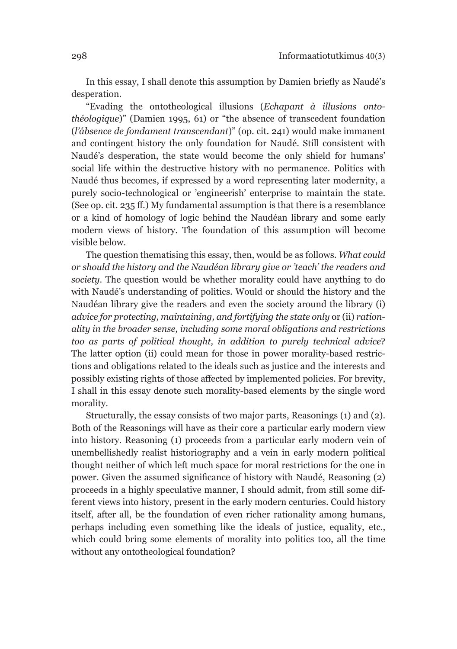In this essay, I shall denote this assumption by Damien briefly as Naudé's desperation.

"Evading the ontotheological illusions (*Echapant à illusions ontothéologique*)" (Damien 1995, 61) or "the absence of transcedent foundation (*l'ábsence de fondament transcendant*)" (op. cit. 241) would make immanent and contingent history the only foundation for Naudé. Still consistent with Naudé's desperation, the state would become the only shield for humans' social life within the destructive history with no permanence. Politics with Naudé thus becomes, if expressed by a word representing later modernity, a purely socio-technological or 'engineerish' enterprise to maintain the state. (See op. cit. 235 ff.) My fundamental assumption is that there is a resemblance or a kind of homology of logic behind the Naudéan library and some early modern views of history. The foundation of this assumption will become visible below.

The question thematising this essay, then, would be as follows. *What could or should the history and the Naudéan library give or 'teach' the readers and society*. The question would be whether morality could have anything to do with Naudé's understanding of politics. Would or should the history and the Naudéan library give the readers and even the society around the library (i) *advice for protecting, maintaining, and fortifying the state only* or (ii) *rationality in the broader sense, including some moral obligations and restrictions too as parts of political thought, in addition to purely technical advice*? The latter option (ii) could mean for those in power morality-based restrictions and obligations related to the ideals such as justice and the interests and possibly existing rights of those affected by implemented policies. For brevity, I shall in this essay denote such morality-based elements by the single word morality.

Structurally, the essay consists of two major parts, Reasonings (1) and (2). Both of the Reasonings will have as their core a particular early modern view into history. Reasoning (1) proceeds from a particular early modern vein of unembellishedly realist historiography and a vein in early modern political thought neither of which left much space for moral restrictions for the one in power. Given the assumed significance of history with Naudé, Reasoning (2) proceeds in a highly speculative manner, I should admit, from still some different views into history, present in the early modern centuries. Could history itself, after all, be the foundation of even richer rationality among humans, perhaps including even something like the ideals of justice, equality, etc., which could bring some elements of morality into politics too, all the time without any ontotheological foundation?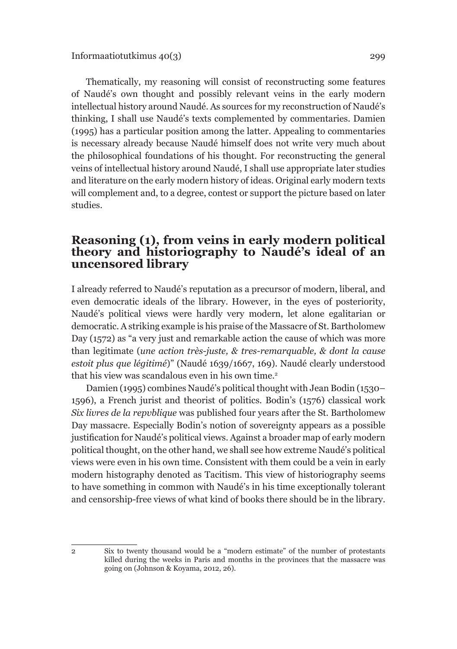Thematically, my reasoning will consist of reconstructing some features of Naudé's own thought and possibly relevant veins in the early modern intellectual history around Naudé. As sources for my reconstruction of Naudé's thinking, I shall use Naudé's texts complemented by commentaries. Damien (1995) has a particular position among the latter. Appealing to commentaries is necessary already because Naudé himself does not write very much about the philosophical foundations of his thought. For reconstructing the general veins of intellectual history around Naudé, I shall use appropriate later studies and literature on the early modern history of ideas. Original early modern texts will complement and, to a degree, contest or support the picture based on later studies.

### **Reasoning (1), from veins in early modern political theory and historiography to Naudé's ideal of an uncensored library**

I already referred to Naudé's reputation as a precursor of modern, liberal, and even democratic ideals of the library. However, in the eyes of posteriority, Naudé's political views were hardly very modern, let alone egalitarian or democratic. A striking example is his praise of the Massacre of St. Bartholomew Day (1572) as "a very just and remarkable action the cause of which was more than legitimate (*une action très-juste, & tres-remarquable, & dont la cause estoit plus que légitimé*)" (Naudé 1639/1667, 169). Naudé clearly understood that his view was scandalous even in his own time.<sup>2</sup>

Damien (1995) combines Naudé's political thought with Jean Bodin (1530– 1596), a French jurist and theorist of politics. Bodin's (1576) classical work *Six livres de la repvblique* was published four years after the St. Bartholomew Day massacre. Especially Bodin's notion of sovereignty appears as a possible justification for Naudé's political views. Against a broader map of early modern political thought, on the other hand, we shall see how extreme Naudé's political views were even in his own time. Consistent with them could be a vein in early modern histography denoted as Tacitism. This view of historiography seems to have something in common with Naudé's in his time exceptionally tolerant and censorship-free views of what kind of books there should be in the library.

<sup>2</sup> Six to twenty thousand would be a "modern estimate" of the number of protestants killed during the weeks in Paris and months in the provinces that the massacre was going on (Johnson & Koyama, 2012, 26).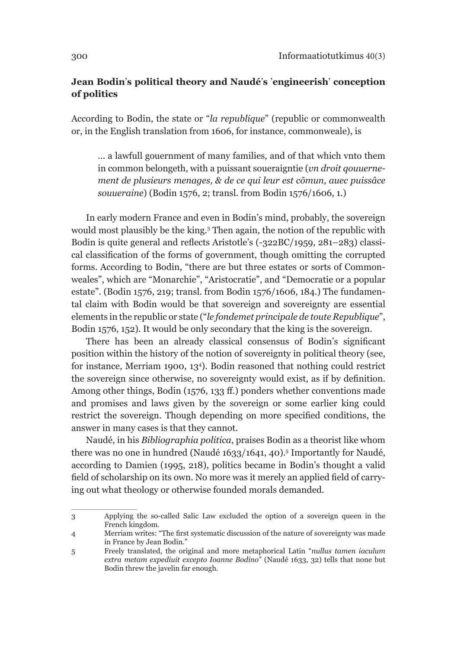### **Jean Bodin**'**s political theory and Naudé**'**s** '**engineerish**' **conception of politics**

According to Bodin, the state or "*la republique*" (republic or commonwealth or, in the English translation from 1606, for instance, commonweale), is

… a lawfull gouernment of many families, and of that which vnto them in common belongeth, with a puissant soueraigntie (*vn droit qouuernement de plusieurs menages, & de ce qui leur est cõmun, auec puissâce souueraine*) (Bodin 1576, 2; transl. from Bodin 1576/1606, 1.)

In early modern France and even in Bodin's mind, probably, the sovereign would most plausibly be the king.3 Then again, the notion of the republic with Bodin is quite general and reflects Aristotle's (-322BC/1959, 281–283) classical classification of the forms of government, though omitting the corrupted forms. According to Bodin, "there are but three estates or sorts of Commonweales", which are "Monarchie", "Aristocratie", and "Democratie or a popular estate". (Bodin 1576, 219; transl. from Bodin 1576/1606, 184.) The fundamental claim with Bodin would be that sovereign and sovereignty are essential elements in the republic or state ("*le fondemet principale de toute Republique*", Bodin 1576, 152). It would be only secondary that the king is the sovereign.

There has been an already classical consensus of Bodin's significant position within the history of the notion of sovereignty in political theory (see, for instance, Merriam 1900, 134 ). Bodin reasoned that nothing could restrict the sovereign since otherwise, no sovereignty would exist, as if by definition. Among other things, Bodin (1576, 133 ff.) ponders whether conventions made and promises and laws given by the sovereign or some earlier king could restrict the sovereign. Though depending on more specified conditions, the answer in many cases is that they cannot.

Naudé, in his *Bibliographia politica*, praises Bodin as a theorist like whom there was no one in hundred (Naudé 1633/1641, 40).5 Importantly for Naudé, according to Damien (1995, 218), politics became in Bodin's thought a valid field of scholarship on its own. No more was it merely an applied field of carrying out what theology or otherwise founded morals demanded.

<sup>3</sup> Applying the so-called Salic Law excluded the option of a sovereign queen in the French kingdom.

<sup>4</sup> Merriam writes: "The first systematic discussion of the nature of sovereignty was made in France by Jean Bodin."

<sup>5</sup> Freely translated, the original and more metaphorical Latin "*nullus tamen iaculum extra metam expediuit excepto Ioanne Bodino*" (Naudé 1633, 32) tells that none but Bodin threw the javelin far enough.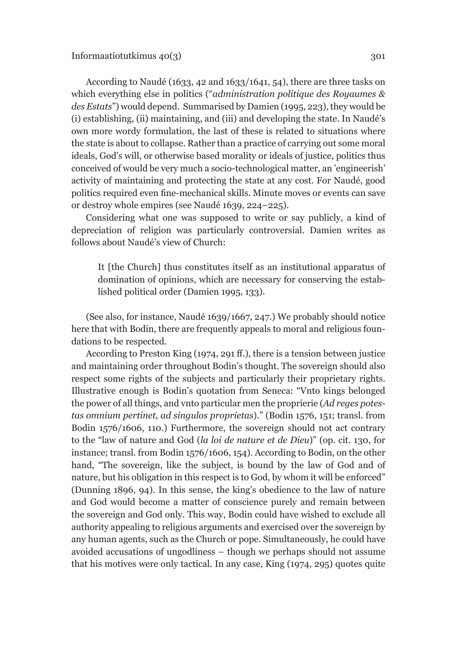According to Naudé (1633, 42 and 1633/1641, 54), there are three tasks on which everything else in politics ("*administration politique des Royaumes & des Estats*") would depend. Summarised by Damien (1995, 223), they would be (i) establishing, (ii) maintaining, and (iii) and developing the state. In Naudé's own more wordy formulation, the last of these is related to situations where the state is about to collapse. Rather than a practice of carrying out some moral ideals, God's will, or otherwise based morality or ideals of justice, politics thus conceived of would be very much a socio-technological matter, an 'engineerish' activity of maintaining and protecting the state at any cost. For Naudé, good politics required even fine-mechanical skills. Minute moves or events can save or destroy whole empires (see Naudé 1639, 224–225).

Considering what one was supposed to write or say publicly, a kind of depreciation of religion was particularly controversial. Damien writes as follows about Naudé's view of Church:

It [the Church] thus constitutes itself as an institutional apparatus of domination of opinions, which are necessary for conserving the established political order (Damien 1995, 133).

(See also, for instance, Naudé 1639/1667, 247.) We probably should notice here that with Bodin, there are frequently appeals to moral and religious foundations to be respected.

According to Preston King (1974, 291 ff.), there is a tension between justice and maintaining order throughout Bodin's thought. The sovereign should also respect some rights of the subjects and particularly their proprietary rights. Illustrative enough is Bodin's quotation from Seneca: "Vnto kings belonged the power of all things, and vnto particular men the proprierie (*Ad reges potestas omnium pertinet, ad singulos proprietas*)." (Bodin 1576, 151; transl. from Bodin 1576/1606, 110.) Furthermore, the sovereign should not act contrary to the "law of nature and God (*la loi de nature et de Dieu*)" (op. cit. 130, for instance; transl. from Bodin 1576/1606, 154). According to Bodin, on the other hand, "The sovereign, like the subject, is bound by the law of God and of nature, but his obligation in this respect is to God, by whom it will be enforced" (Dunning 1896, 94). In this sense, the king's obedience to the law of nature and God would become a matter of conscience purely and remain between the sovereign and God only. This way, Bodin could have wished to exclude all authority appealing to religious arguments and exercised over the sovereign by any human agents, such as the Church or pope. Simultaneously, he could have avoided accusations of ungodliness – though we perhaps should not assume that his motives were only tactical. In any case, King (1974, 295) quotes quite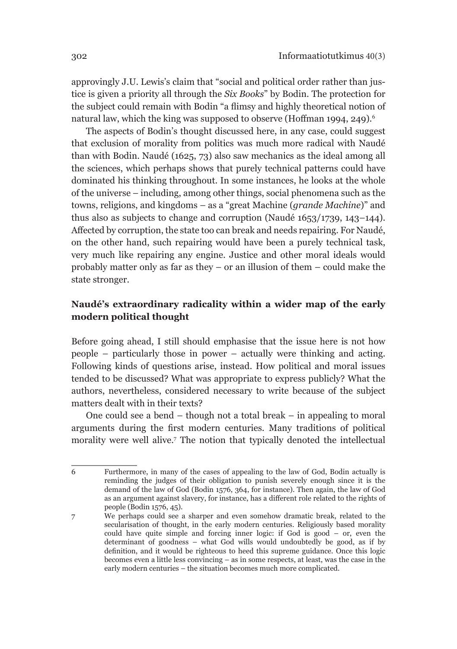approvingly J.U. Lewis's claim that "social and political order rather than justice is given a priority all through the *Six Books*" by Bodin. The protection for the subject could remain with Bodin "a flimsy and highly theoretical notion of natural law, which the king was supposed to observe (Hoffman 1994, 249).<sup>6</sup>

The aspects of Bodin's thought discussed here, in any case, could suggest that exclusion of morality from politics was much more radical with Naudé than with Bodin. Naudé (1625, 73) also saw mechanics as the ideal among all the sciences, which perhaps shows that purely technical patterns could have dominated his thinking throughout. In some instances, he looks at the whole of the universe – including, among other things, social phenomena such as the towns, religions, and kingdoms – as a "great Machine (*grande Machine*)" and thus also as subjects to change and corruption (Naudé 1653/1739, 143–144). Affected by corruption, the state too can break and needs repairing. For Naudé, on the other hand, such repairing would have been a purely technical task, very much like repairing any engine. Justice and other moral ideals would probably matter only as far as they – or an illusion of them – could make the state stronger.

### **Naudé's extraordinary radicality within a wider map of the early modern political thought**

Before going ahead, I still should emphasise that the issue here is not how people – particularly those in power – actually were thinking and acting. Following kinds of questions arise, instead. How political and moral issues tended to be discussed? What was appropriate to express publicly? What the authors, nevertheless, considered necessary to write because of the subject matters dealt with in their texts?

One could see a bend – though not a total break – in appealing to moral arguments during the first modern centuries. Many traditions of political morality were well alive.7 The notion that typically denoted the intellectual

<sup>6</sup> Furthermore, in many of the cases of appealing to the law of God, Bodin actually is reminding the judges of their obligation to punish severely enough since it is the demand of the law of God (Bodin 1576, 364, for instance). Then again, the law of God as an argument against slavery, for instance, has a different role related to the rights of people (Bodin 1576, 45).

<sup>7</sup> We perhaps could see a sharper and even somehow dramatic break, related to the secularisation of thought, in the early modern centuries. Religiously based morality could have quite simple and forcing inner logic: if God is good – or, even the determinant of goodness – what God wills would undoubtedly be good, as if by definition, and it would be righteous to heed this supreme guidance. Once this logic becomes even a little less convincing – as in some respects, at least, was the case in the early modern centuries – the situation becomes much more complicated.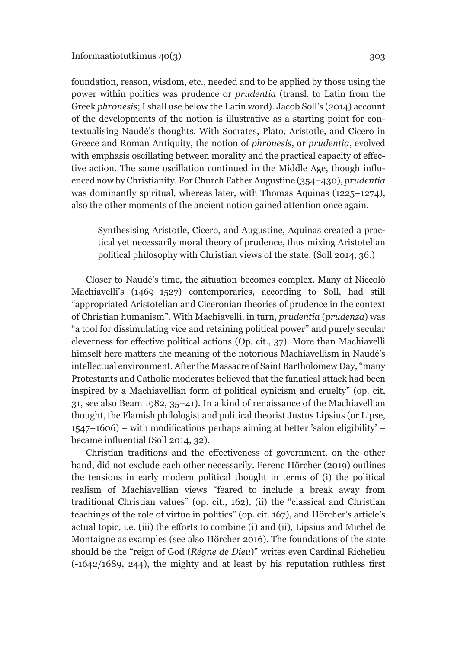foundation, reason, wisdom, etc., needed and to be applied by those using the power within politics was prudence or *prudentia* (transl. to Latin from the Greek *phronesis*; I shall use below the Latin word). Jacob Soll's (2014) account of the developments of the notion is illustrative as a starting point for contextualising Naudé's thoughts. With Socrates, Plato, Aristotle, and Cicero in Greece and Roman Antiquity, the notion of *phronesis*, or *prudentia*, evolved with emphasis oscillating between morality and the practical capacity of effective action. The same oscillation continued in the Middle Age, though influenced now by Christianity. For Church Father Augustine (354–430), *prudentia* was dominantly spiritual, whereas later, with Thomas Aquinas (1225–1274), also the other moments of the ancient notion gained attention once again.

Synthesising Aristotle, Cicero, and Augustine, Aquinas created a practical yet necessarily moral theory of prudence, thus mixing Aristotelian political philosophy with Christian views of the state. (Soll 2014, 36.)

Closer to Naudé's time, the situation becomes complex. Many of Niccoló Machiavelli's (1469–1527) contemporaries, according to Soll, had still "appropriated Aristotelian and Ciceronian theories of prudence in the context of Christian humanism". With Machiavelli, in turn, *prudentia* (*prudenza*) was "a tool for dissimulating vice and retaining political power" and purely secular cleverness for effective political actions (Op. cit., 37). More than Machiavelli himself here matters the meaning of the notorious Machiavellism in Naudé's intellectual environment. After the Massacre of Saint Bartholomew Day, "many Protestants and Catholic moderates believed that the fanatical attack had been inspired by a Machiavellian form of political cynicism and cruelty" (op. cit, 31, see also Beam 1982, 35–41). In a kind of renaissance of the Machiavellian thought, the Flamish philologist and political theorist Justus Lipsius (or Lipse, 1547–1606) – with modifications perhaps aiming at better 'salon eligibility' – became influential (Soll 2014, 32).

Christian traditions and the effectiveness of government, on the other hand, did not exclude each other necessarily. Ferenc Hörcher (2019) outlines the tensions in early modern political thought in terms of (i) the political realism of Machiavellian views "feared to include a break away from traditional Christian values" (op. cit., 162), (ii) the "classical and Christian teachings of the role of virtue in politics" (op. cit. 167), and Hörcher's article's actual topic, i.e. (iii) the efforts to combine (i) and (ii), Lipsius and Michel de Montaigne as examples (see also Hörcher 2016). The foundations of the state should be the "reign of God (*Régne de Dieu*)" writes even Cardinal Richelieu (-1642/1689, 244), the mighty and at least by his reputation ruthless first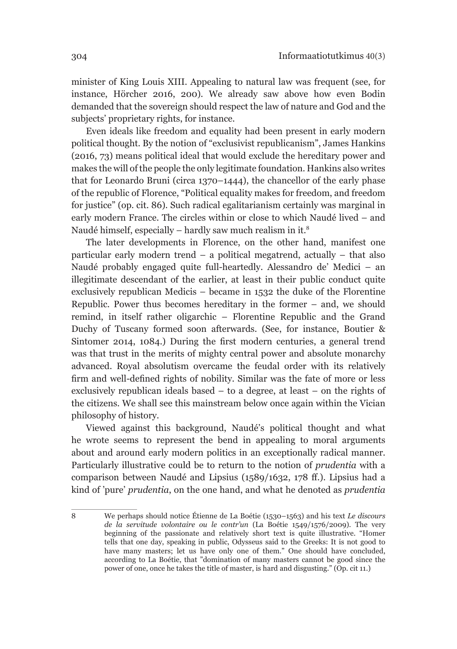minister of King Louis XIII. Appealing to natural law was frequent (see, for instance, Hörcher 2016, 200). We already saw above how even Bodin demanded that the sovereign should respect the law of nature and God and the subjects' proprietary rights, for instance.

Even ideals like freedom and equality had been present in early modern political thought. By the notion of "exclusivist republicanism", James Hankins (2016, 73) means political ideal that would exclude the hereditary power and makes the will of the people the only legitimate foundation. Hankins also writes that for Leonardo Bruni (circa 1370–1444), the chancellor of the early phase of the republic of Florence, "Political equality makes for freedom, and freedom for justice" (op. cit. 86). Such radical egalitarianism certainly was marginal in early modern France. The circles within or close to which Naudé lived – and Naudé himself, especially – hardly saw much realism in it.8

The later developments in Florence, on the other hand, manifest one particular early modern trend – a political megatrend, actually – that also Naudé probably engaged quite full-heartedly. Alessandro de' Medici – an illegitimate descendant of the earlier, at least in their public conduct quite exclusively republican Medicis – became in 1532 the duke of the Florentine Republic. Power thus becomes hereditary in the former – and, we should remind, in itself rather oligarchic – Florentine Republic and the Grand Duchy of Tuscany formed soon afterwards. (See, for instance, Boutier & Sintomer 2014, 1084.) During the first modern centuries, a general trend was that trust in the merits of mighty central power and absolute monarchy advanced. Royal absolutism overcame the feudal order with its relatively firm and well-defined rights of nobility. Similar was the fate of more or less exclusively republican ideals based – to a degree, at least – on the rights of the citizens. We shall see this mainstream below once again within the Vician philosophy of history.

Viewed against this background, Naudé's political thought and what he wrote seems to represent the bend in appealing to moral arguments about and around early modern politics in an exceptionally radical manner. Particularly illustrative could be to return to the notion of *prudentia* with a comparison between Naudé and Lipsius (1589/1632, 178 ff.). Lipsius had a kind of 'pure' *prudentia*, on the one hand, and what he denoted as *prudentia* 

<sup>8</sup> We perhaps should notice Étienne de La Boétie (1530–1563) and his text *Le discours de la servitude volontaire ou le contr'un* (La Boétie 1549/1576/2009). The very beginning of the passionate and relatively short text is quite illustrative. "Homer tells that one day, speaking in public, Odysseus said to the Greeks: It is not good to have many masters; let us have only one of them." One should have concluded, according to La Boétie, that "domination of many masters cannot be good since the power of one, once he takes the title of master, is hard and disgusting." (Op. cit 11.)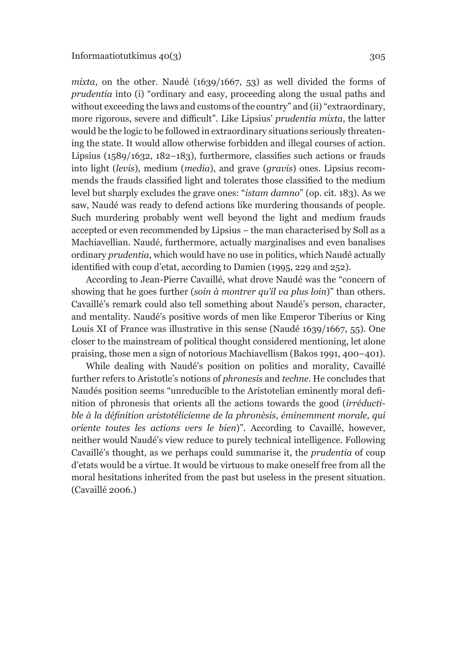*mixta*, on the other. Naudé (1639/1667, 53) as well divided the forms of *prudentia* into (i) "ordinary and easy, proceeding along the usual paths and without exceeding the laws and customs of the country" and (ii) "extraordinary, more rigorous, severe and difficult". Like Lipsius' *prudentia mixta*, the latter would be the logic to be followed in extraordinary situations seriously threatening the state. It would allow otherwise forbidden and illegal courses of action. Lipsius (1589/1632, 182–183), furthermore, classifies such actions or frauds into light (*levis*), medium (*media*), and grave (*gravis*) ones. Lipsius recommends the frauds classified light and tolerates those classified to the medium level but sharply excludes the grave ones: "*istam damno*" (op. cit. 183). As we saw, Naudé was ready to defend actions like murdering thousands of people. Such murdering probably went well beyond the light and medium frauds accepted or even recommended by Lipsius – the man characterised by Soll as a Machiavellian. Naudé, furthermore, actually marginalises and even banalises ordinary *prudentia*, which would have no use in politics, which Naudé actually identified with coup d'etat, according to Damien (1995, 229 and 252).

According to Jean-Pierre Cavaillé, what drove Naudé was the "concern of showing that he goes further (*soin à montrer qu'il va plus loin*)" than others. Cavaillé's remark could also tell something about Naudé's person, character, and mentality. Naudé's positive words of men like Emperor Tiberius or King Louis XI of France was illustrative in this sense (Naudé 1639/1667, 55). One closer to the mainstream of political thought considered mentioning, let alone praising, those men a sign of notorious Machiavellism (Bakos 1991, 400–401).

While dealing with Naudé's position on politics and morality, Cavaillé further refers to Aristotle's notions of *phronesis* and *techne*. He concludes that Naudés position seems "unreducible to the Aristotelian eminently moral definition of phronesis that orients all the actions towards the good (*irréductible à la définition aristotélicienne de la phronèsis, éminemment morale, qui oriente toutes les actions vers le bien*)". According to Cavaillé, however, neither would Naudé's view reduce to purely technical intelligence. Following Cavaillé's thought, as we perhaps could summarise it, the *prudentia* of coup d'etats would be a virtue. It would be virtuous to make oneself free from all the moral hesitations inherited from the past but useless in the present situation. (Cavaillé 2006.)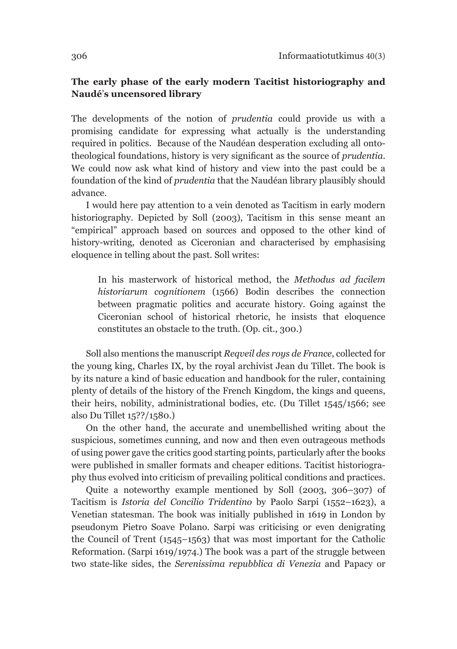#### **The early phase of the early modern Tacitist historiography and Naudé**'**s uncensored library**

The developments of the notion of *prudentia* could provide us with a promising candidate for expressing what actually is the understanding required in politics. Because of the Naudéan desperation excluding all ontotheological foundations, history is very significant as the source of *prudentia*. We could now ask what kind of history and view into the past could be a foundation of the kind of *prudentia* that the Naudéan library plausibly should advance.

I would here pay attention to a vein denoted as Tacitism in early modern historiography. Depicted by Soll (2003), Tacitism in this sense meant an "empirical" approach based on sources and opposed to the other kind of history-writing, denoted as Ciceronian and characterised by emphasising eloquence in telling about the past. Soll writes:

In his masterwork of historical method, the *Methodus ad facilem historiarum cognitionem* (1566) Bodin describes the connection between pragmatic politics and accurate history. Going against the Ciceronian school of historical rhetoric, he insists that eloquence constitutes an obstacle to the truth. (Op. cit., 300.)

Soll also mentions the manuscript *Reqveil des roys de France*, collected for the young king, Charles IX, by the royal archivist Jean du Tillet. The book is by its nature a kind of basic education and handbook for the ruler, containing plenty of details of the history of the French Kingdom, the kings and queens, their heirs, nobility, administrational bodies, etc. (Du Tillet 1545/1566; see also Du Tillet 15??/1580.)

On the other hand, the accurate and unembellished writing about the suspicious, sometimes cunning, and now and then even outrageous methods of using power gave the critics good starting points, particularly after the books were published in smaller formats and cheaper editions. Tacitist historiography thus evolved into criticism of prevailing political conditions and practices.

Quite a noteworthy example mentioned by Soll (2003, 306–307) of Tacitism is *Istoria del Concilio Tridentino* by Paolo Sarpi (1552–1623), a Venetian statesman. The book was initially published in 1619 in London by pseudonym Pietro Soave Polano. Sarpi was criticising or even denigrating the Council of Trent (1545–1563) that was most important for the Catholic Reformation. (Sarpi 1619/1974.) The book was a part of the struggle between two state-like sides, the *Serenissima repubblica di Venezia* and Papacy or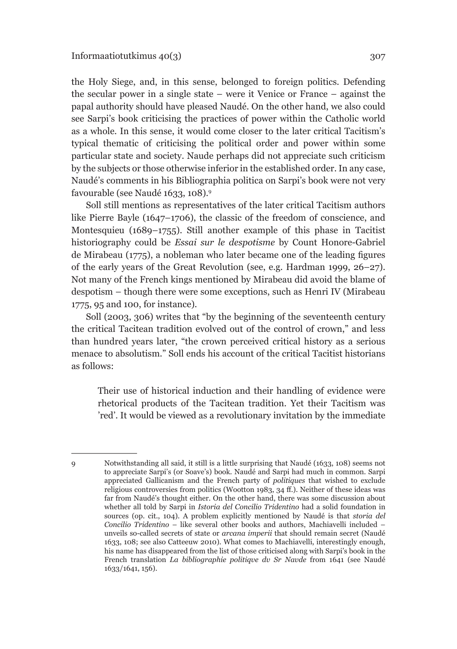the Holy Siege, and, in this sense, belonged to foreign politics. Defending the secular power in a single state – were it Venice or France – against the papal authority should have pleased Naudé. On the other hand, we also could see Sarpi's book criticising the practices of power within the Catholic world as a whole. In this sense, it would come closer to the later critical Tacitism's typical thematic of criticising the political order and power within some particular state and society. Naude perhaps did not appreciate such criticism by the subjects or those otherwise inferior in the established order. In any case, Naudé's comments in his Bibliographia politica on Sarpi's book were not very favourable (see Naudé 1633, 108).9

Soll still mentions as representatives of the later critical Tacitism authors like Pierre Bayle (1647–1706), the classic of the freedom of conscience, and Montesquieu (1689–1755). Still another example of this phase in Tacitist historiography could be *Essai sur le despotisme* by Count Honore-Gabriel de Mirabeau (1775), a nobleman who later became one of the leading figures of the early years of the Great Revolution (see, e.g. Hardman 1999, 26–27). Not many of the French kings mentioned by Mirabeau did avoid the blame of despotism – though there were some exceptions, such as Henri IV (Mirabeau 1775, 95 and 100, for instance).

Soll (2003, 306) writes that "by the beginning of the seventeenth century the critical Tacitean tradition evolved out of the control of crown," and less than hundred years later, "the crown perceived critical history as a serious menace to absolutism." Soll ends his account of the critical Tacitist historians as follows:

Their use of historical induction and their handling of evidence were rhetorical products of the Tacitean tradition. Yet their Tacitism was 'red'. It would be viewed as a revolutionary invitation by the immediate

<sup>9</sup> Notwithstanding all said, it still is a little surprising that Naudé (1633, 108) seems not to appreciate Sarpi's (or Soave's) book. Naudé and Sarpi had much in common. Sarpi appreciated Gallicanism and the French party of *politiques* that wished to exclude religious controversies from politics (Wootton 1983, 34 ff.). Neither of these ideas was far from Naudé's thought either. On the other hand, there was some discussion about whether all told by Sarpi in *Istoria del Concilio Tridentino* had a solid foundation in sources (op. cit., 104). A problem explicitly mentioned by Naudé is that *storia del Concilio Tridentino* – like several other books and authors, Machiavelli included – unveils so-called secrets of state or *arcana imperii* that should remain secret (Naudé 1633, 108; see also Catteeuw 2010). What comes to Machiavelli, interestingly enough, his name has disappeared from the list of those criticised along with Sarpi's book in the French translation *La bibliographie politiqve dv Sr Navde* from 1641 (see Naudé 1633/1641, 156).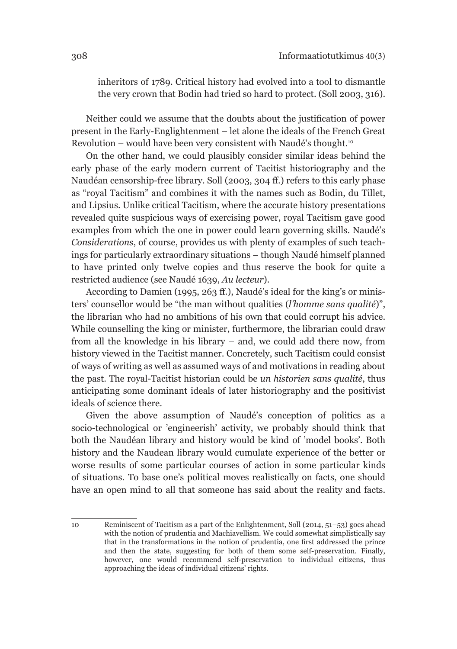inheritors of 1789. Critical history had evolved into a tool to dismantle the very crown that Bodin had tried so hard to protect. (Soll 2003, 316).

Neither could we assume that the doubts about the justification of power present in the Early-Englightenment – let alone the ideals of the French Great Revolution – would have been very consistent with Naudé's thought.10

On the other hand, we could plausibly consider similar ideas behind the early phase of the early modern current of Tacitist historiography and the Naudéan censorship-free library. Soll (2003, 304 ff.) refers to this early phase as "royal Tacitism" and combines it with the names such as Bodin, du Tillet, and Lipsius. Unlike critical Tacitism, where the accurate history presentations revealed quite suspicious ways of exercising power, royal Tacitism gave good examples from which the one in power could learn governing skills. Naudé's *Considerations*, of course, provides us with plenty of examples of such teachings for particularly extraordinary situations – though Naudé himself planned to have printed only twelve copies and thus reserve the book for quite a restricted audience (see Naudé 1639, *Au lecteur*).

According to Damien (1995, 263 ff.), Naudé's ideal for the king's or ministers' counsellor would be "the man without qualities (*l'homme sans qualité*)", the librarian who had no ambitions of his own that could corrupt his advice. While counselling the king or minister, furthermore, the librarian could draw from all the knowledge in his library – and, we could add there now, from history viewed in the Tacitist manner. Concretely, such Tacitism could consist of ways of writing as well as assumed ways of and motivations in reading about the past. The royal-Tacitist historian could be *un historien sans qualité*, thus anticipating some dominant ideals of later historiography and the positivist ideals of science there.

Given the above assumption of Naudé's conception of politics as a socio-technological or 'engineerish' activity, we probably should think that both the Naudéan library and history would be kind of 'model books'. Both history and the Naudean library would cumulate experience of the better or worse results of some particular courses of action in some particular kinds of situations. To base one's political moves realistically on facts, one should have an open mind to all that someone has said about the reality and facts.

<sup>10</sup> Reminiscent of Tacitism as a part of the Enlightenment, Soll (2014, 51–53) goes ahead with the notion of prudentia and Machiavellism. We could somewhat simplistically say that in the transformations in the notion of prudentia, one first addressed the prince and then the state, suggesting for both of them some self-preservation. Finally, however, one would recommend self-preservation to individual citizens, thus approaching the ideas of individual citizens' rights.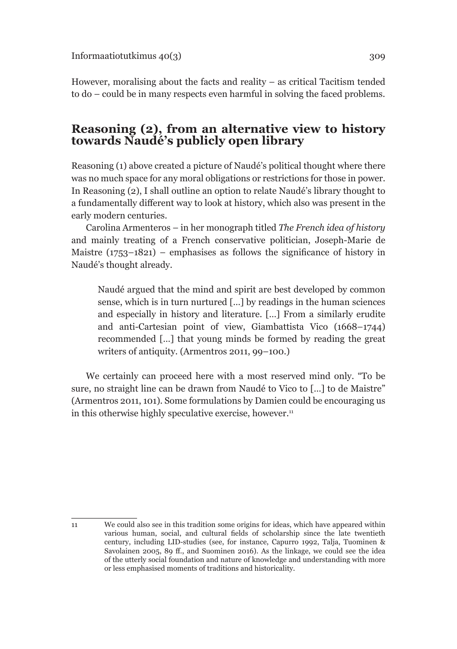However, moralising about the facts and reality – as critical Tacitism tended to do – could be in many respects even harmful in solving the faced problems.

# **Reasoning (2), from an alternative view to history towards Naudé's publicly open library**

Reasoning (1) above created a picture of Naudé's political thought where there was no much space for any moral obligations or restrictions for those in power. In Reasoning (2), I shall outline an option to relate Naudé's library thought to a fundamentally different way to look at history, which also was present in the early modern centuries.

Carolina Armenteros – in her monograph titled *The French idea of history*  and mainly treating of a French conservative politician, Joseph-Marie de Maistre  $(1753-1821)$  – emphasises as follows the significance of history in Naudé's thought already.

Naudé argued that the mind and spirit are best developed by common sense, which is in turn nurtured […] by readings in the human sciences and especially in history and literature. […] From a similarly erudite and anti-Cartesian point of view, Giambattista Vico (1668–1744) recommended […] that young minds be formed by reading the great writers of antiquity. (Armentros 2011, 99–100.)

We certainly can proceed here with a most reserved mind only. "To be sure, no straight line can be drawn from Naudé to Vico to […] to de Maistre" (Armentros 2011, 101). Some formulations by Damien could be encouraging us in this otherwise highly speculative exercise, however. $11$ 

<sup>11</sup> We could also see in this tradition some origins for ideas, which have appeared within various human, social, and cultural fields of scholarship since the late twentieth century, including LID-studies (see, for instance, Capurro 1992, Talja, Tuominen & Savolainen 2005, 89 ff., and Suominen 2016). As the linkage, we could see the idea of the utterly social foundation and nature of knowledge and understanding with more or less emphasised moments of traditions and historicality.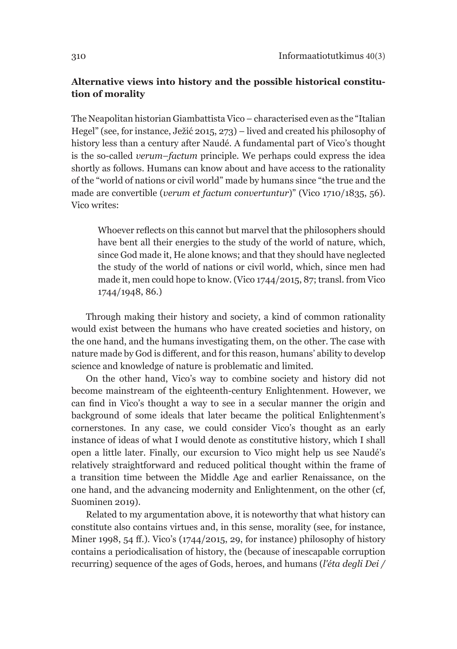### **Alternative views into history and the possible historical constitution of morality**

The Neapolitan historian Giambattista Vico – characterised even as the "Italian Hegel" (see, for instance, Ježić 2015, 273) – lived and created his philosophy of history less than a century after Naudé. A fundamental part of Vico's thought is the so-called *verum–factum* principle. We perhaps could express the idea shortly as follows. Humans can know about and have access to the rationality of the "world of nations or civil world" made by humans since "the true and the made are convertible (*verum et factum convertuntur*)" (Vico 1710/1835, 56). Vico writes:

Whoever reflects on this cannot but marvel that the philosophers should have bent all their energies to the study of the world of nature, which, since God made it, He alone knows; and that they should have neglected the study of the world of nations or civil world, which, since men had made it, men could hope to know. (Vico 1744/2015, 87; transl. from Vico 1744/1948, 86.)

Through making their history and society, a kind of common rationality would exist between the humans who have created societies and history, on the one hand, and the humans investigating them, on the other. The case with nature made by God is different, and for this reason, humans' ability to develop science and knowledge of nature is problematic and limited.

On the other hand, Vico's way to combine society and history did not become mainstream of the eighteenth-century Enlightenment. However, we can find in Vico's thought a way to see in a secular manner the origin and background of some ideals that later became the political Enlightenment's cornerstones. In any case, we could consider Vico's thought as an early instance of ideas of what I would denote as constitutive history, which I shall open a little later. Finally, our excursion to Vico might help us see Naudé's relatively straightforward and reduced political thought within the frame of a transition time between the Middle Age and earlier Renaissance, on the one hand, and the advancing modernity and Enlightenment, on the other (cf, Suominen 2019).

Related to my argumentation above, it is noteworthy that what history can constitute also contains virtues and, in this sense, morality (see, for instance, Miner 1998, 54 ff.). Vico's (1744/2015, 29, for instance) philosophy of history contains a periodicalisation of history, the (because of inescapable corruption recurring) sequence of the ages of Gods, heroes, and humans (*l'éta degli Dei /*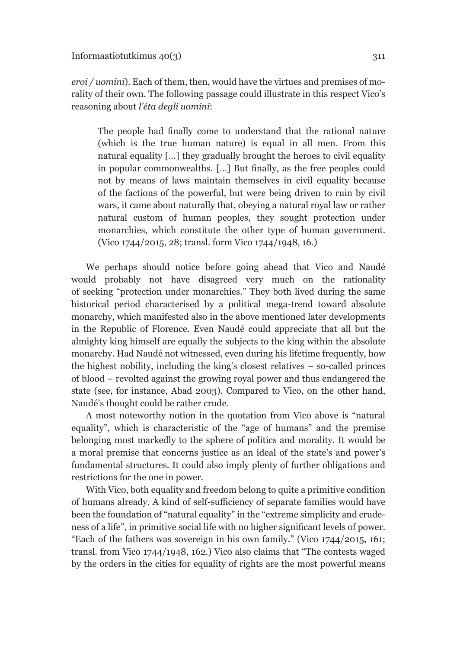*eroi / uomini*). Each of them, then, would have the virtues and premises of morality of their own. The following passage could illustrate in this respect Vico's reasoning about *l'éta degli uomini*:

The people had finally come to understand that the rational nature (which is the true human nature) is equal in all men. From this natural equality […] they gradually brought the heroes to civil equality in popular commonwealths. […] But finally, as the free peoples could not by means of laws maintain themselves in civil equality because of the factions of the powerful, but were being driven to ruin by civil wars, it came about naturally that, obeying a natural royal law or rather natural custom of human peoples, they sought protection under monarchies, which constitute the other type of human government. (Vico 1744/2015, 28; transl. form Vico 1744/1948, 16.)

We perhaps should notice before going ahead that Vico and Naudé would probably not have disagreed very much on the rationality of seeking "protection under monarchies." They both lived during the same historical period characterised by a political mega-trend toward absolute monarchy, which manifested also in the above mentioned later developments in the Republic of Florence. Even Naudé could appreciate that all but the almighty king himself are equally the subjects to the king within the absolute monarchy. Had Naudé not witnessed, even during his lifetime frequently, how the highest nobility, including the king's closest relatives – so-called princes of blood – revolted against the growing royal power and thus endangered the state (see, for instance, Abad 2003). Compared to Vico, on the other hand, Naudé's thought could be rather crude.

A most noteworthy notion in the quotation from Vico above is "natural equality", which is characteristic of the "age of humans" and the premise belonging most markedly to the sphere of politics and morality. It would be a moral premise that concerns justice as an ideal of the state's and power's fundamental structures. It could also imply plenty of further obligations and restrictions for the one in power.

With Vico, both equality and freedom belong to quite a primitive condition of humans already. A kind of self-sufficiency of separate families would have been the foundation of "natural equality" in the "extreme simplicity and crudeness of a life", in primitive social life with no higher significant levels of power. "Each of the fathers was sovereign in his own family." (Vico 1744/2015, 161; transl. from Vico 1744/1948, 162.) Vico also claims that "The contests waged by the orders in the cities for equality of rights are the most powerful means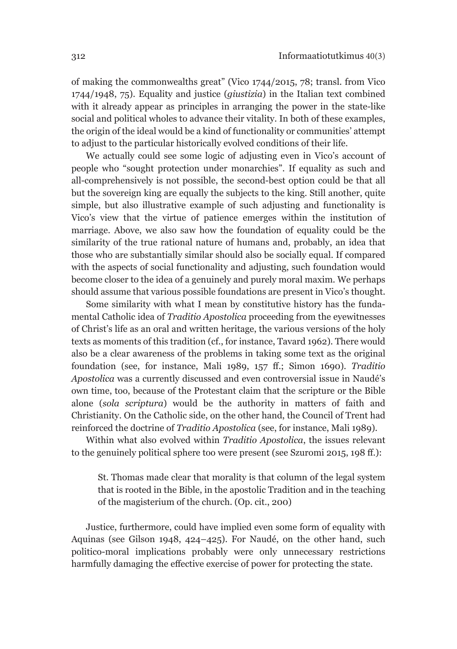of making the commonwealths great" (Vico 1744/2015, 78; transl. from Vico 1744/1948, 75). Equality and justice (*giustizia*) in the Italian text combined with it already appear as principles in arranging the power in the state-like social and political wholes to advance their vitality. In both of these examples, the origin of the ideal would be a kind of functionality or communities' attempt to adjust to the particular historically evolved conditions of their life.

We actually could see some logic of adjusting even in Vico's account of people who "sought protection under monarchies". If equality as such and all-comprehensively is not possible, the second-best option could be that all but the sovereign king are equally the subjects to the king. Still another, quite simple, but also illustrative example of such adjusting and functionality is Vico's view that the virtue of patience emerges within the institution of marriage. Above, we also saw how the foundation of equality could be the similarity of the true rational nature of humans and, probably, an idea that those who are substantially similar should also be socially equal. If compared with the aspects of social functionality and adjusting, such foundation would become closer to the idea of a genuinely and purely moral maxim. We perhaps should assume that various possible foundations are present in Vico's thought.

Some similarity with what I mean by constitutive history has the fundamental Catholic idea of *Traditio Apostolica* proceeding from the eyewitnesses of Christ's life as an oral and written heritage, the various versions of the holy texts as moments of this tradition (cf., for instance, Tavard 1962). There would also be a clear awareness of the problems in taking some text as the original foundation (see, for instance, Mali 1989, 157 ff.; Simon 1690). *Traditio Apostolica* was a currently discussed and even controversial issue in Naudé's own time, too, because of the Protestant claim that the scripture or the Bible alone (*sola scriptura*) would be the authority in matters of faith and Christianity. On the Catholic side, on the other hand, the Council of Trent had reinforced the doctrine of *Traditio Apostolica* (see, for instance, Mali 1989).

Within what also evolved within *Traditio Apostolica*, the issues relevant to the genuinely political sphere too were present (see Szuromi 2015, 198 ff.):

St. Thomas made clear that morality is that column of the legal system that is rooted in the Bible, in the apostolic Tradition and in the teaching of the magisterium of the church. (Op. cit., 200)

Justice, furthermore, could have implied even some form of equality with Aquinas (see Gilson 1948, 424–425). For Naudé, on the other hand, such politico-moral implications probably were only unnecessary restrictions harmfully damaging the effective exercise of power for protecting the state.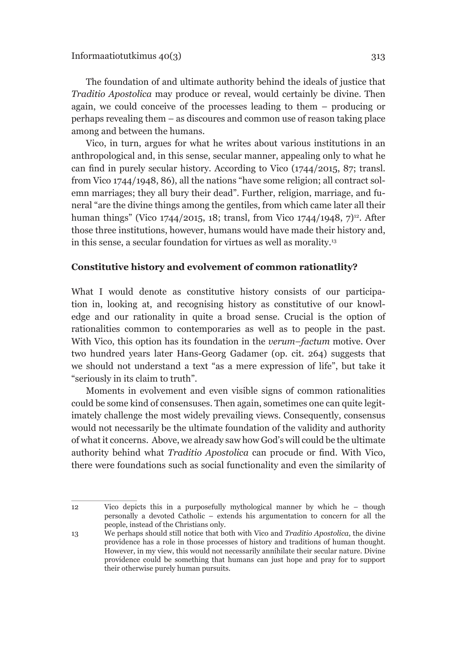The foundation of and ultimate authority behind the ideals of justice that *Traditio Apostolica* may produce or reveal, would certainly be divine. Then again, we could conceive of the processes leading to them – producing or perhaps revealing them – as discoures and common use of reason taking place among and between the humans.

Vico, in turn, argues for what he writes about various institutions in an anthropological and, in this sense, secular manner, appealing only to what he can find in purely secular history. According to Vico (1744/2015, 87; transl. from Vico 1744/1948, 86), all the nations "have some religion; all contract solemn marriages; they all bury their dead". Further, religion, marriage, and funeral "are the divine things among the gentiles, from which came later all their human things" (Vico 1744/2015, 18; transl, from Vico 1744/1948,  $7)^{12}$ . After those three institutions, however, humans would have made their history and, in this sense, a secular foundation for virtues as well as morality.13

#### **Constitutive history and evolvement of common rationatlity?**

What I would denote as constitutive history consists of our participation in, looking at, and recognising history as constitutive of our knowledge and our rationality in quite a broad sense. Crucial is the option of rationalities common to contemporaries as well as to people in the past. With Vico, this option has its foundation in the *verum–factum* motive. Over two hundred years later Hans-Georg Gadamer (op. cit. 264) suggests that we should not understand a text "as a mere expression of life", but take it "seriously in its claim to truth".

Moments in evolvement and even visible signs of common rationalities could be some kind of consensuses. Then again, sometimes one can quite legitimately challenge the most widely prevailing views. Consequently, consensus would not necessarily be the ultimate foundation of the validity and authority of what it concerns. Above, we already saw how God's will could be the ultimate authority behind what *Traditio Apostolica* can procude or find. With Vico, there were foundations such as social functionality and even the similarity of

<sup>12</sup> Vico depicts this in a purposefully mythological manner by which he – though personally a devoted Catholic – extends his argumentation to concern for all the people, instead of the Christians only.

<sup>13</sup> We perhaps should still notice that both with Vico and *Traditio Apostolica*, the divine providence has a role in those processes of history and traditions of human thought. However, in my view, this would not necessarily annihilate their secular nature. Divine providence could be something that humans can just hope and pray for to support their otherwise purely human pursuits.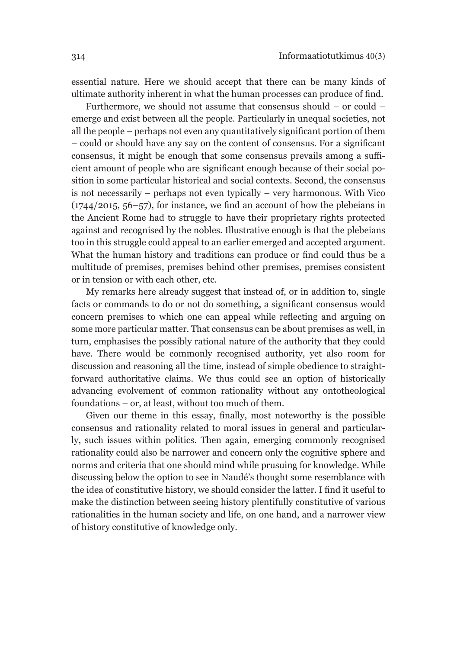essential nature. Here we should accept that there can be many kinds of ultimate authority inherent in what the human processes can produce of find.

Furthermore, we should not assume that consensus should – or could – emerge and exist between all the people. Particularly in unequal societies, not all the people – perhaps not even any quantitatively significant portion of them – could or should have any say on the content of consensus. For a significant consensus, it might be enough that some consensus prevails among a sufficient amount of people who are significant enough because of their social position in some particular historical and social contexts. Second, the consensus is not necessarily – perhaps not even typically – very harmonous. With Vico (1744/2015, 56–57), for instance, we find an account of how the plebeians in the Ancient Rome had to struggle to have their proprietary rights protected against and recognised by the nobles. Illustrative enough is that the plebeians too in this struggle could appeal to an earlier emerged and accepted argument. What the human history and traditions can produce or find could thus be a multitude of premises, premises behind other premises, premises consistent or in tension or with each other, etc.

My remarks here already suggest that instead of, or in addition to, single facts or commands to do or not do something, a significant consensus would concern premises to which one can appeal while reflecting and arguing on some more particular matter. That consensus can be about premises as well, in turn, emphasises the possibly rational nature of the authority that they could have. There would be commonly recognised authority, yet also room for discussion and reasoning all the time, instead of simple obedience to straightforward authoritative claims. We thus could see an option of historically advancing evolvement of common rationality without any ontotheological foundations – or, at least, without too much of them.

Given our theme in this essay, finally, most noteworthy is the possible consensus and rationality related to moral issues in general and particularly, such issues within politics. Then again, emerging commonly recognised rationality could also be narrower and concern only the cognitive sphere and norms and criteria that one should mind while prusuing for knowledge. While discussing below the option to see in Naudé's thought some resemblance with the idea of constitutive history, we should consider the latter. I find it useful to make the distinction between seeing history plentifully constitutive of various rationalities in the human society and life, on one hand, and a narrower view of history constitutive of knowledge only.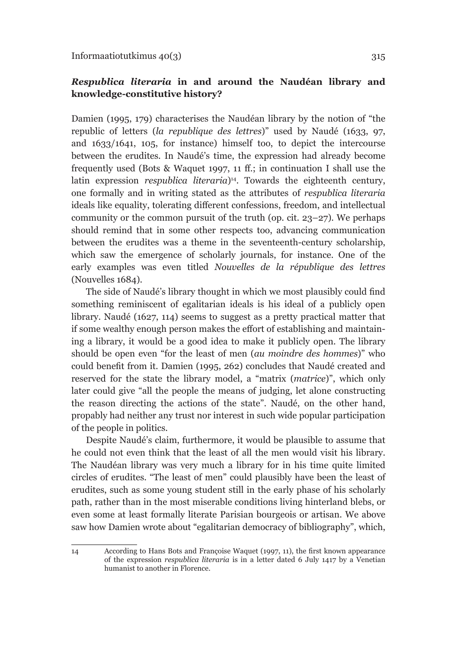### *Respublica literaria* **in and around the Naudéan library and knowledge-constitutive history?**

Damien (1995, 179) characterises the Naudéan library by the notion of "the republic of letters (*la republique des lettres*)" used by Naudé (1633, 97, and 1633/1641, 105, for instance) himself too, to depict the intercourse between the erudites. In Naudé's time, the expression had already become frequently used (Bots & Waquet 1997, 11 ff.; in continuation I shall use the latin expression *respublica literaria*)<sup>14</sup>. Towards the eighteenth century, one formally and in writing stated as the attributes of *respublica literaria* ideals like equality, tolerating different confessions, freedom, and intellectual community or the common pursuit of the truth (op. cit. 23–27). We perhaps should remind that in some other respects too, advancing communication between the erudites was a theme in the seventeenth-century scholarship, which saw the emergence of scholarly journals, for instance. One of the early examples was even titled *Nouvelles de la république des lettres* (Nouvelles 1684).

The side of Naudé's library thought in which we most plausibly could find something reminiscent of egalitarian ideals is his ideal of a publicly open library. Naudé (1627, 114) seems to suggest as a pretty practical matter that if some wealthy enough person makes the effort of establishing and maintaining a library, it would be a good idea to make it publicly open. The library should be open even "for the least of men (*au moindre des hommes*)" who could benefit from it. Damien (1995, 262) concludes that Naudé created and reserved for the state the library model, a "matrix (*matrice*)", which only later could give "all the people the means of judging, let alone constructing the reason directing the actions of the state". Naudé, on the other hand, propably had neither any trust nor interest in such wide popular participation of the people in politics.

Despite Naudé's claim, furthermore, it would be plausible to assume that he could not even think that the least of all the men would visit his library. The Naudéan library was very much a library for in his time quite limited circles of erudites. "The least of men" could plausibly have been the least of erudites, such as some young student still in the early phase of his scholarly path, rather than in the most miserable conditions living hinterland blebs, or even some at least formally literate Parisian bourgeois or artisan. We above saw how Damien wrote about "egalitarian democracy of bibliography", which,

<sup>14</sup> According to Hans Bots and Françoise Waquet (1997, 11), the first known appearance of the expression *respublica literaria* is in a letter dated 6 July 1417 by a Venetian humanist to another in Florence.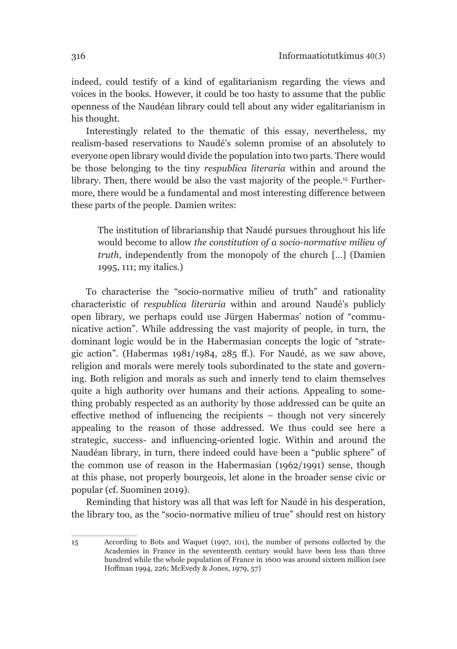indeed, could testify of a kind of egalitarianism regarding the views and voices in the books. However, it could be too hasty to assume that the public openness of the Naudéan library could tell about any wider egalitarianism in his thought.

Interestingly related to the thematic of this essay, nevertheless, my realism-based reservations to Naudé's solemn promise of an absolutely to everyone open library would divide the population into two parts. There would be those belonging to the tiny *respublica literaria* within and around the library. Then, there would be also the vast majority of the people.<sup>15</sup> Furthermore, there would be a fundamental and most interesting difference between these parts of the people. Damien writes:

The institution of librarianship that Naudé pursues throughout his life would become to allow *the constitution of a socio-normative milieu of truth*, independently from the monopoly of the church […] (Damien 1995, 111; my italics.)

To characterise the "socio-normative milieu of truth" and rationality characteristic of *respublica literaria* within and around Naudé's publicly open library, we perhaps could use Jürgen Habermas' notion of "communicative action". While addressing the vast majority of people, in turn, the dominant logic would be in the Habermasian concepts the logic of "strategic action". (Habermas 1981/1984, 285 ff.). For Naudé, as we saw above, religion and morals were merely tools subordinated to the state and governing. Both religion and morals as such and innerly tend to claim themselves quite a high authority over humans and their actions. Appealing to something probably respected as an authority by those addressed can be quite an effective method of influencing the recipients – though not very sincerely appealing to the reason of those addressed. We thus could see here a strategic, success- and influencing-oriented logic. Within and around the Naudéan library, in turn, there indeed could have been a "public sphere" of the common use of reason in the Habermasian (1962/1991) sense, though at this phase, not properly bourgeois, let alone in the broader sense civic or popular (cf. Suominen 2019).

Reminding that history was all that was left for Naudé in his desperation, the library too, as the "socio-normative milieu of true" should rest on history

<sup>15</sup> According to Bots and Waquet (1997, 101), the number of persons collected by the Academies in France in the seventeenth century would have been less than three hundred while the whole population of France in 1600 was around sixteen million (see Hoffman 1994, 226; McEvedy & Jones, 1979, 57)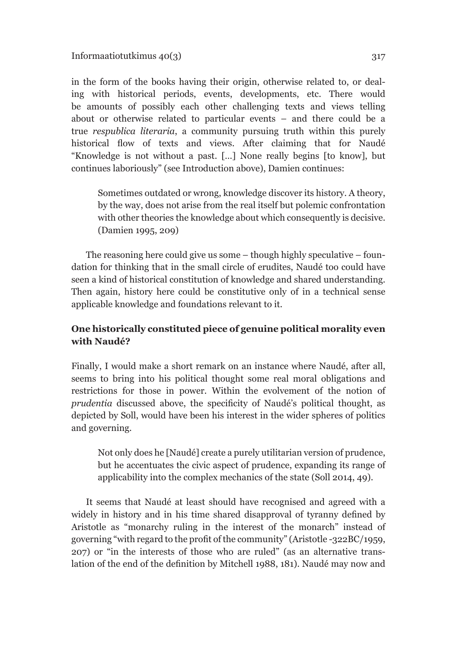Informaatiotutkimus  $40(3)$  317

in the form of the books having their origin, otherwise related to, or dealing with historical periods, events, developments, etc. There would be amounts of possibly each other challenging texts and views telling about or otherwise related to particular events – and there could be a true *respublica literaria*, a community pursuing truth within this purely historical flow of texts and views. After claiming that for Naudé "Knowledge is not without a past. […] None really begins [to know], but continues laboriously" (see Introduction above), Damien continues:

Sometimes outdated or wrong, knowledge discover its history. A theory, by the way, does not arise from the real itself but polemic confrontation with other theories the knowledge about which consequently is decisive. (Damien 1995, 209)

The reasoning here could give us some – though highly speculative – foundation for thinking that in the small circle of erudites, Naudé too could have seen a kind of historical constitution of knowledge and shared understanding. Then again, history here could be constitutive only of in a technical sense applicable knowledge and foundations relevant to it.

### **One historically constituted piece of genuine political morality even with Naudé?**

Finally, I would make a short remark on an instance where Naudé, after all, seems to bring into his political thought some real moral obligations and restrictions for those in power. Within the evolvement of the notion of *prudentia* discussed above, the specificity of Naudé's political thought, as depicted by Soll, would have been his interest in the wider spheres of politics and governing.

Not only does he [Naudé] create a purely utilitarian version of prudence, but he accentuates the civic aspect of prudence, expanding its range of applicability into the complex mechanics of the state (Soll 2014, 49).

It seems that Naudé at least should have recognised and agreed with a widely in history and in his time shared disapproval of tyranny defined by Aristotle as "monarchy ruling in the interest of the monarch" instead of governing "with regard to the profit of the community" (Aristotle -322BC/1959, 207) or "in the interests of those who are ruled" (as an alternative translation of the end of the definition by Mitchell 1988, 181). Naudé may now and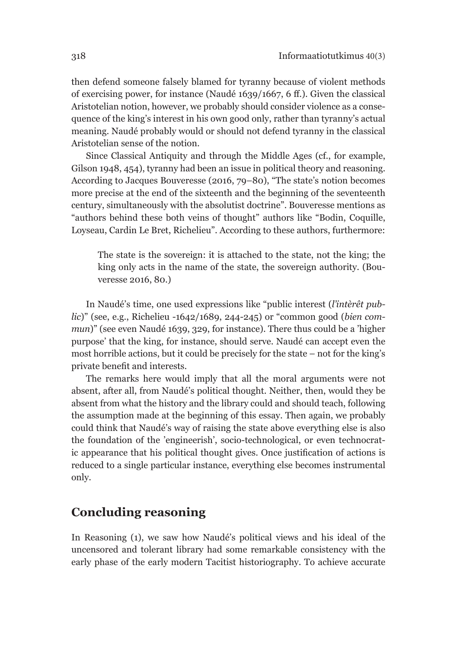then defend someone falsely blamed for tyranny because of violent methods of exercising power, for instance (Naudé 1639/1667, 6 ff.). Given the classical Aristotelian notion, however, we probably should consider violence as a consequence of the king's interest in his own good only, rather than tyranny's actual meaning. Naudé probably would or should not defend tyranny in the classical Aristotelian sense of the notion.

Since Classical Antiquity and through the Middle Ages (cf., for example, Gilson 1948, 454), tyranny had been an issue in political theory and reasoning. According to Jacques Bouveresse (2016, 79–80), "The state's notion becomes more precise at the end of the sixteenth and the beginning of the seventeenth century, simultaneously with the absolutist doctrine". Bouveresse mentions as "authors behind these both veins of thought" authors like "Bodin, Coquille, Loyseau, Cardin Le Bret, Richelieu". According to these authors, furthermore:

The state is the sovereign: it is attached to the state, not the king; the king only acts in the name of the state, the sovereign authority. (Bouveresse 2016, 80.)

In Naudé's time, one used expressions like "public interest (*l'intèrêt public*)" (see, e.g., Richelieu -1642/1689, 244-245) or "common good (*bien commun*)" (see even Naudé 1639, 329, for instance). There thus could be a 'higher purpose' that the king, for instance, should serve. Naudé can accept even the most horrible actions, but it could be precisely for the state – not for the king's private benefit and interests.

The remarks here would imply that all the moral arguments were not absent, after all, from Naudé's political thought. Neither, then, would they be absent from what the history and the library could and should teach, following the assumption made at the beginning of this essay. Then again, we probably could think that Naudé's way of raising the state above everything else is also the foundation of the 'engineerish', socio-technological, or even technocratic appearance that his political thought gives. Once justification of actions is reduced to a single particular instance, everything else becomes instrumental only.

# **Concluding reasoning**

In Reasoning (1), we saw how Naudé's political views and his ideal of the uncensored and tolerant library had some remarkable consistency with the early phase of the early modern Tacitist historiography. To achieve accurate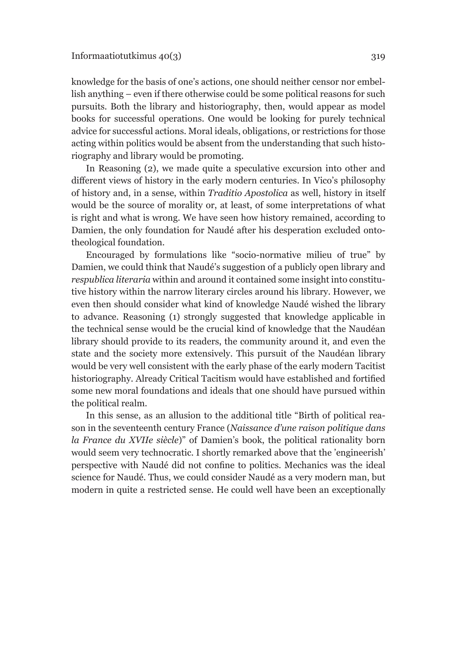knowledge for the basis of one's actions, one should neither censor nor embellish anything – even if there otherwise could be some political reasons for such pursuits. Both the library and historiography, then, would appear as model books for successful operations. One would be looking for purely technical advice for successful actions. Moral ideals, obligations, or restrictions for those acting within politics would be absent from the understanding that such historiography and library would be promoting.

In Reasoning (2), we made quite a speculative excursion into other and different views of history in the early modern centuries. In Vico's philosophy of history and, in a sense, within *Traditio Apostolica* as well, history in itself would be the source of morality or, at least, of some interpretations of what is right and what is wrong. We have seen how history remained, according to Damien, the only foundation for Naudé after his desperation excluded ontotheological foundation.

Encouraged by formulations like "socio-normative milieu of true" by Damien, we could think that Naudé's suggestion of a publicly open library and *respublica literaria* within and around it contained some insight into constitutive history within the narrow literary circles around his library. However, we even then should consider what kind of knowledge Naudé wished the library to advance. Reasoning (1) strongly suggested that knowledge applicable in the technical sense would be the crucial kind of knowledge that the Naudéan library should provide to its readers, the community around it, and even the state and the society more extensively. This pursuit of the Naudéan library would be very well consistent with the early phase of the early modern Tacitist historiography. Already Critical Tacitism would have established and fortified some new moral foundations and ideals that one should have pursued within the political realm.

In this sense, as an allusion to the additional title "Birth of political reason in the seventeenth century France (*Naissance d'une raison politique dans la France du XVIIe siècle*)" of Damien's book, the political rationality born would seem very technocratic. I shortly remarked above that the 'engineerish' perspective with Naudé did not confine to politics. Mechanics was the ideal science for Naudé. Thus, we could consider Naudé as a very modern man, but modern in quite a restricted sense. He could well have been an exceptionally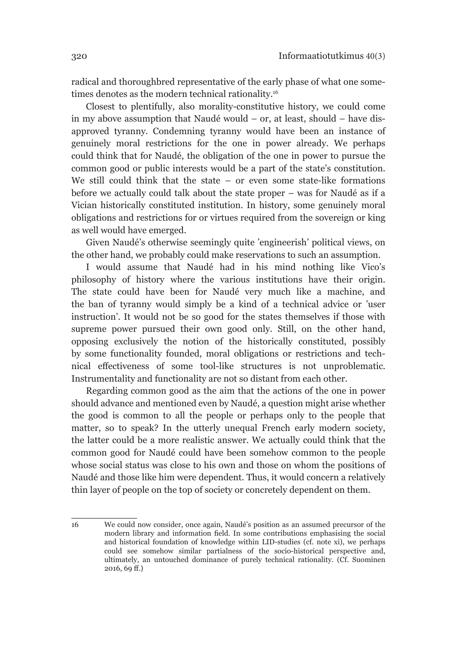radical and thoroughbred representative of the early phase of what one sometimes denotes as the modern technical rationality.<sup>16</sup>

Closest to plentifully, also morality-constitutive history, we could come in my above assumption that Naudé would – or, at least, should – have disapproved tyranny. Condemning tyranny would have been an instance of genuinely moral restrictions for the one in power already. We perhaps could think that for Naudé, the obligation of the one in power to pursue the common good or public interests would be a part of the state's constitution. We still could think that the state  $-$  or even some state-like formations before we actually could talk about the state proper – was for Naudé as if a Vician historically constituted institution. In history, some genuinely moral obligations and restrictions for or virtues required from the sovereign or king as well would have emerged.

Given Naudé's otherwise seemingly quite 'engineerish' political views, on the other hand, we probably could make reservations to such an assumption.

I would assume that Naudé had in his mind nothing like Vico's philosophy of history where the various institutions have their origin. The state could have been for Naudé very much like a machine, and the ban of tyranny would simply be a kind of a technical advice or 'user instruction'. It would not be so good for the states themselves if those with supreme power pursued their own good only. Still, on the other hand, opposing exclusively the notion of the historically constituted, possibly by some functionality founded, moral obligations or restrictions and technical effectiveness of some tool-like structures is not unproblematic. Instrumentality and functionality are not so distant from each other.

Regarding common good as the aim that the actions of the one in power should advance and mentioned even by Naudé, a question might arise whether the good is common to all the people or perhaps only to the people that matter, so to speak? In the utterly unequal French early modern society, the latter could be a more realistic answer. We actually could think that the common good for Naudé could have been somehow common to the people whose social status was close to his own and those on whom the positions of Naudé and those like him were dependent. Thus, it would concern a relatively thin layer of people on the top of society or concretely dependent on them.

16 We could now consider, once again, Naudé's position as an assumed precursor of the modern library and information field. In some contributions emphasising the social and historical foundation of knowledge within LID-studies (cf. note xi), we perhaps could see somehow similar partialness of the socio-historical perspective and, ultimately, an untouched dominance of purely technical rationality. (Cf. Suominen 2016, 69 ff.)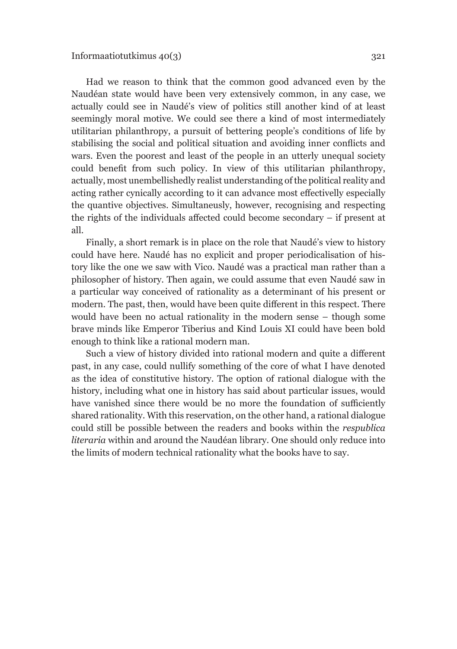Had we reason to think that the common good advanced even by the Naudéan state would have been very extensively common, in any case, we actually could see in Naudé's view of politics still another kind of at least seemingly moral motive. We could see there a kind of most intermediately utilitarian philanthropy, a pursuit of bettering people's conditions of life by stabilising the social and political situation and avoiding inner conflicts and wars. Even the poorest and least of the people in an utterly unequal society could benefit from such policy. In view of this utilitarian philanthropy, actually, most unembellishedly realist understanding of the political reality and acting rather cynically according to it can advance most effectivelly especially the quantive objectives. Simultaneusly, however, recognising and respecting the rights of the individuals affected could become secondary – if present at all.

Finally, a short remark is in place on the role that Naudé's view to history could have here. Naudé has no explicit and proper periodicalisation of history like the one we saw with Vico. Naudé was a practical man rather than a philosopher of history. Then again, we could assume that even Naudé saw in a particular way conceived of rationality as a determinant of his present or modern. The past, then, would have been quite different in this respect. There would have been no actual rationality in the modern sense – though some brave minds like Emperor Tiberius and Kind Louis XI could have been bold enough to think like a rational modern man.

Such a view of history divided into rational modern and quite a different past, in any case, could nullify something of the core of what I have denoted as the idea of constitutive history. The option of rational dialogue with the history, including what one in history has said about particular issues, would have vanished since there would be no more the foundation of sufficiently shared rationality. With this reservation, on the other hand, a rational dialogue could still be possible between the readers and books within the *respublica literaria* within and around the Naudéan library. One should only reduce into the limits of modern technical rationality what the books have to say.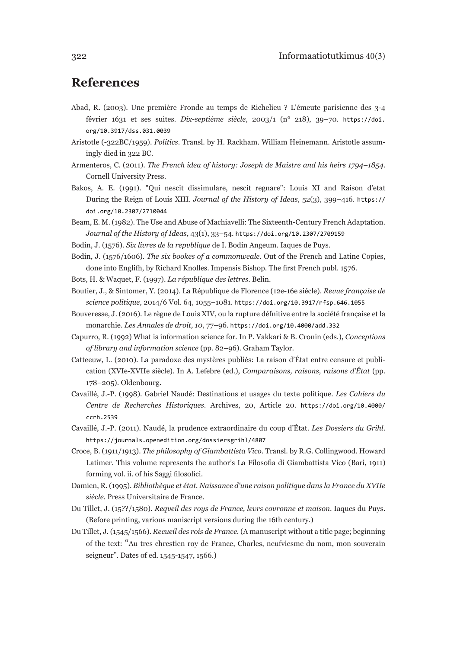### **References**

- Abad, R. (2003). Une première Fronde au temps de Richelieu ? L'émeute parisienne des 3-4 février 1631 et ses suites. *Dix-septième siècle*, 2003/1 (n° 218), 39–70. [https://doi.](https://doi.org/10.3917/dss.031.0039) [org/10.3917/dss.031.0039](https://doi.org/10.3917/dss.031.0039)
- Aristotle (-322BC/1959). *Politics*. Transl. by H. Rackham. William Heinemann. Aristotle assumingly died in 322 BC.
- Armenteros, C. (2011). *The French idea of history: Joseph de Maistre and his heirs 1794–1854*. Cornell University Press.
- Bakos, A. E. (1991). "Qui nescit dissimulare, nescit regnare": Louis XI and Raison d'etat During the Reign of Louis XIII. *Journal of the History of Ideas*, 52(3), 399–416. [https://](https://doi.org/10.2307/2710044) [doi.org/10.2307/2710044](https://doi.org/10.2307/2710044)
- Beam, E. M. (1982). The Use and Abuse of Machiavelli: The Sixteenth-Century French Adaptation. *Journal of the History of Ideas*, 43(1), 33–54. <https://doi.org/10.2307/2709159>
- Bodin, J. (1576). *Six livres de la repvblique* de I. Bodin Angeum. Iaques de Puys.
- Bodin, J. (1576/1606). *The six bookes of a commonweale*. Out of the French and Latine Copies, done into Englifh, by Richard Knolles. Impensis Bishop. The first French publ. 1576.
- Bots, H. & Waquet, F. (1997). *La république des lettres*. Belin.
- Boutier, J., & Sintomer, Y. (2014). La République de Florence (12e-16e siécle). *Revue française de science politique*, 2014/6 Vol. 64, 1055–1081. <https://doi.org/10.3917/rfsp.646.1055>
- Bouveresse, J. (2016). Le règne de Louis XIV, ou la rupture défnitive entre la société française et la monarchie. *Les Annales de droit, 10*, 77–96. <https://doi.org/10.4000/add.332>
- Capurro, R. (1992) What is information science for. In P. Vakkari & B. Cronin (eds.), *Conceptions of library and information science* (pp. 82–96). Graham Taylor.
- Catteeuw, L. (2010). La paradoxe des mystères publiés: La raison d'État entre censure et publication (XVIe-XVIIe siècle). In A. Lefebre (ed.), *Comparaisons, raisons, raisons d'État* (pp. 178–205). Oldenbourg.
- Cavaillé, J.-P. (1998). Gabriel Naudé: Destinations et usages du texte politique. *Les Cahiers du Centre de Recherches Historiques*. Archives, 20, Article 20. [https://doi.org/10.4000/](https://doi.org/10.4000/ccrh.2539) [ccrh.2539](https://doi.org/10.4000/ccrh.2539)
- Cavaillé, J.-P. (2011). Naudé, la prudence extraordinaire du coup d'État. *Les Dossiers du Grihl*. <https://journals.openedition.org/dossiersgrihl/4807>
- Croce, B. (1911/1913). *The philosophy of Giambattista Vico*. Transl. by R.G. Collingwood. Howard Latimer. This volume represents the author's La Filosofia di Giambattista Vico (Bari, 1911) forming vol. ii. of his Saggi filosofici.
- Damien, R. (1995). *Bibliothèque et état. Naissance d'une raison politique dans la France du XVIIe siècle*. Press Universitaire de France.
- Du Tillet, J. (15??/1580). *Reqveil des roys de France, levrs covronne et maison*. Iaques du Puys. (Before printing, various maniscript versions during the 16th century.)
- Du Tillet, J. (1545/1566). *Recueil des rois de France*. (A manuscript without a title page; beginning of the text: "Au tres chrestien roy de France, Charles, neufviesme du nom, mon souverain seigneur". Dates of ed. 1545-1547, 1566.)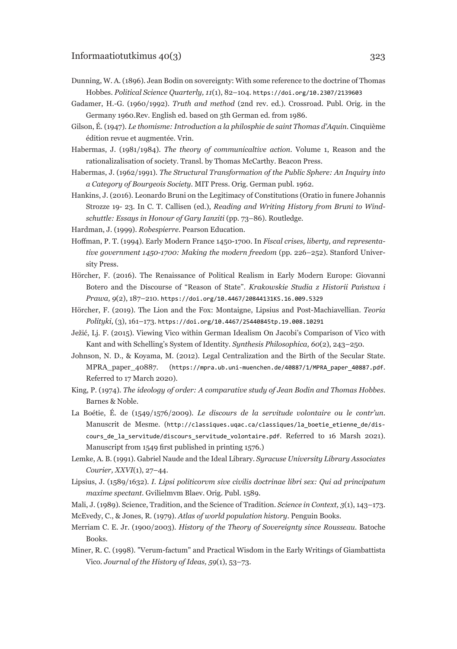- Dunning, W. A. (1896). Jean Bodin on sovereignty: With some reference to the doctrine of Thomas Hobbes. *Political Science Quarterly, 11*(1), 82–104. <https://doi.org/10.2307/2139603>
- Gadamer, H.-G. (1960/1992). *Truth and method* (2nd rev. ed.). Crossroad. Publ. Orig. in the Germany 1960.Rev. English ed. based on 5th German ed. from 1986.
- Gilson, É. (1947). *Le thomisme: Introduction a la philosphie de saint Thomas d'Aquin*. Cinquième édition revue et augmentée. Vrin.
- Habermas, J. (1981/1984). *The theory of communicaltive action*. Volume 1, Reason and the rationalizalisation of society. Transl. by Thomas McCarthy. Beacon Press.
- Habermas, J. (1962/1991). *The Structural Transformation of the Public Sphere: An Inquiry into a Category of Bourgeois Society*. MIT Press. Orig. German publ. 1962.
- Hankins, J. (2016). Leonardo Bruni on the Legitimacy of Constitutions (Oratio in funere Johannis Strozze 19- 23. In C. T. Callisen (ed.), *Reading and Writing History from Bruni to Windschuttle: Essays in Honour of Gary Ianziti* (pp. 73–86). Routledge.
- Hardman, J. (1999). *Robespierre*. Pearson Education.
- Hoffman, P. T. (1994). Early Modern France 1450-1700. In *Fiscal crises, liberty, and representative government 1450-1700: Making the modern freedom* (pp. 226–252). Stanford University Press.
- Hörcher, F. (2016). The Renaissance of Political Realism in Early Modern Europe: Giovanni Botero and the Discourse of "Reason of State". *Krakowskie Studia z Historii Państwa i Prawa, 9*(2), 187–210. <https://doi.org/10.4467/20844131KS.16.009.5329>
- Hörcher, F. (2019). The Lion and the Fox: Montaigne, Lipsius and Post-Machiavellian. *Teoria Polityki*, (3), 161–173. <https://doi.org/10.4467/25440845tp.19.008.10291>
- Ježić, Lj. F. (2015). Viewing Vico within German Idealism On Jacobi's Comparison of Vico with Kant and with Schelling's System of Identity. *Synthesis Philosophica, 60*(2), 243–250.
- Johnson, N. D., & Koyama, M. (2012). Legal Centralization and the Birth of the Secular State. MPRA\_paper\_40887. ([https://mpra.ub.uni-muenchen.de/40887/1/MPRA\\_paper\\_40887.pdf](https://mpra.ub.uni-muenchen.de/40887/1/MPRA_paper_40887.pdf). Referred to 17 March 2020).
- King, P. (1974). *The ideology of order: A comparative study of Jean Bodin and Thomas Hobbes*. Barnes & Noble.
- La Boétie, É. de (1549/1576/2009). *Le discours de la servitude volontaire ou le contr'un*. Manuscrit de Mesme. ([http://classiques.uqac.ca/classiques/la\\_boetie\\_etienne\\_de/dis](http://classiques.uqac.ca/classiques/la_boetie_etienne_de/discours_de_la_servitude/discours_servitude_volontaire.pdf)[cours\\_de\\_la\\_servitude/discours\\_servitude\\_volontaire.pdf](http://classiques.uqac.ca/classiques/la_boetie_etienne_de/discours_de_la_servitude/discours_servitude_volontaire.pdf). Referred to 16 Marsh 2021). Manuscript from 1549 first published in printing 1576.)
- Lemke, A. B. (1991). Gabriel Naude and the Ideal Library. *Syracuse University Library Associates Courier, XXVI*(1), 27–44.
- Lipsius, J. (1589/1632). *I. Lipsi politicorvm sive civilis doctrinae libri sex: Qui ad principatum maxime spectant*. Gvilielmvm Blaev. Orig. Publ. 1589.
- Mali, J. (1989). Science, Tradition, and the Science of Tradition. *Science in Context, 3*(1), 143–173.
- McEvedy, C., & Jones, R. (1979). *Atlas of world population history*. Penguin Books.
- Merriam C. E. Jr. (1900/2003). *History of the Theory of Sovereignty since Rousseau*. Batoche Books.
- Miner, R. C. (1998). "Verum-factum" and Practical Wisdom in the Early Writings of Giambattista Vico. *Journal of the History of Ideas, 59*(1), 53–73.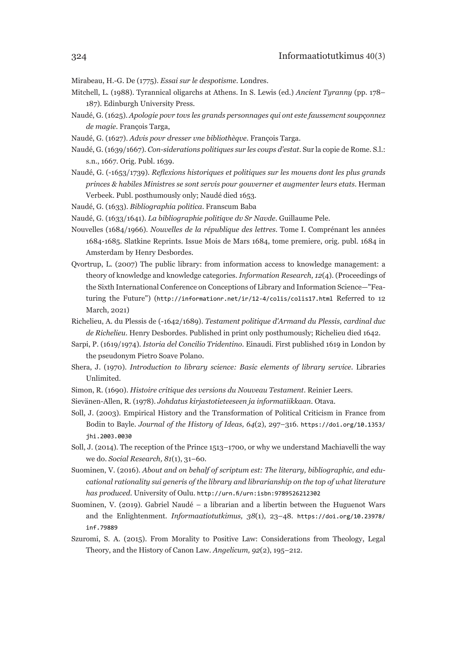Mirabeau, H.-G. De (1775). *Essai sur le despotisme*. Londres.

- Mitchell, L. (1988). Tyrannical oligarchs at Athens. In S. Lewis (ed.) *Ancient Tyranny* (pp. 178– 187). Edinburgh University Press.
- Naudé, G. (1625). *Apologie povr tovs les grands personnages qui ont este faussemcnt soupçonnez de magie*. François Targa,
- Naudé, G. (1627). *Advis povr dresser vne bibliothèqve*. François Targa.
- Naudé, G. (1639/1667). *Con-siderations politiques sur les coups d'estat*. Sur la copie de Rome. S.l.: s.n., 1667. Orig. Publ. 1639.
- Naudé, G. (-1653/1739). *Reflexions historiques et politiques sur les mouens dont les plus grands princes & habiles Ministres se sont servis pour gouverner et augmenter leurs etats*. Herman Verbeek. Publ. posthumously only; Naudé died 1653.
- Naudé, G. (1633). *Bibliographia politica*. Franscum Baba
- Naudé, G. (1633/1641). *La bibliographie politiqve dv Sr Navde*. Guillaume Pele.
- Nouvelles (1684/1966). *Nouvelles de la république des lettres*. Tome I. Comprénant les années 1684-1685. Slatkine Reprints. Issue Mois de Mars 1684, tome premiere, orig. publ. 1684 in Amsterdam by Henry Desbordes.
- Qvortrup, L. (2007) The public library: from information access to knowledge management: a theory of knowledge and knowledge categories. *Information Research, 12*(4). (Proceedings of the Sixth International Conference on Conceptions of Library and Information Science—"Featuring the Future") (<http://informationr.net/ir/12-4/colis/colis17.html> Referred to 12 March, 2021)
- Richelieu, A. du Plessis de (-1642/1689). *Testament politique d'Armand du Plessis, cardinal duc de Richelieu*. Henry Desbordes. Published in print only posthumously; Richelieu died 1642.
- Sarpi, P. (1619/1974). *Istoria del Concilio Tridentino*. Einaudi. First published 1619 in London by the pseudonym Pietro Soave Polano.
- Shera, J. (1970). *Introduction to library science: Basic elements of library service*. Libraries Unlimited.
- Simon, R. (1690). *Histoire critique des versions du Nouveau Testament*. Reinier Leers.
- Sievänen-Allen, R. (1978). *Johdatus kirjastotieteeseen ja informatiikkaan*. Otava.
- Soll, J. (2003). Empirical History and the Transformation of Political Criticism in France from Bodin to Bayle. *Journal of the History of Ideas, 64*(2), 297–316. [https://doi.org/10.1353/](https://doi.org/10.1353/jhi.2003.0030) [jhi.2003.0030](https://doi.org/10.1353/jhi.2003.0030)
- Soll, J. (2014). The reception of the Prince 1513–1700, or why we understand Machiavelli the way we do. *Social Research, 81*(1), 31–60.
- Suominen, V. (2016). *About and on behalf of scriptum est: The literary, bibliographic, and educational rationality sui generis of the library and librarianship on the top of what literature has produced*. University of Oulu. <http://urn.fi/urn:isbn:9789526212302>
- Suominen, V. (2019). Gabriel Naudé a librarian and a libertin between the Huguenot Wars and the Enlightenment. *Informaatiotutkimus, 38*(1), 23–48. [https://doi.org/10.23978/](https://doi.org/10.23978/inf.79889) [inf.79889](https://doi.org/10.23978/inf.79889)
- Szuromi, S. A. (2015). From Morality to Positive Law: Considerations from Theology, Legal Theory, and the History of Canon Law. *Angelicum, 92*(2), 195–212.